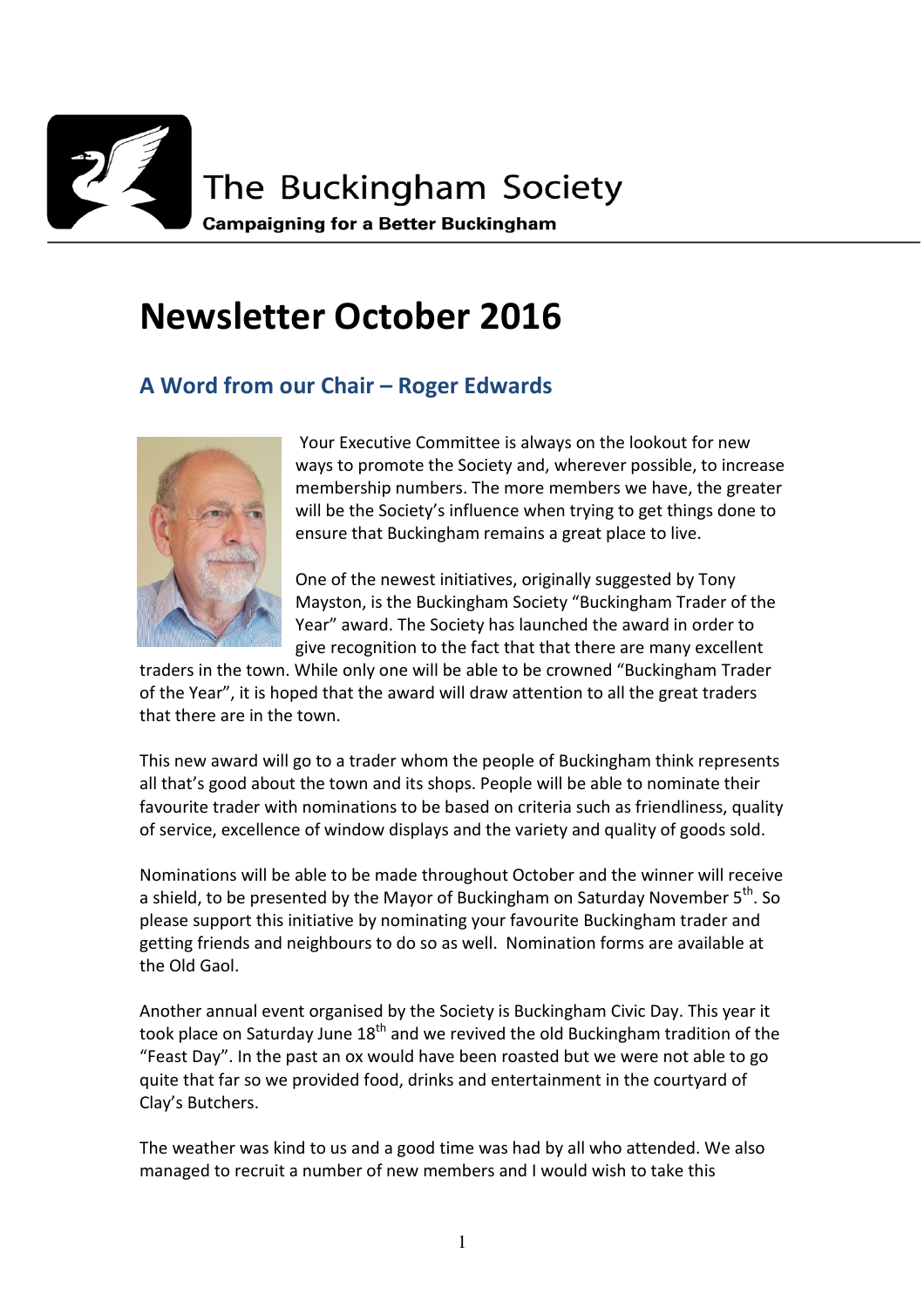

# **Newsletter October 2016**

### **A Word from our Chair – Roger Edwards**



 Your Executive Committee is always on the lookout for new ways to promote the Society and, wherever possible, to increase membership numbers. The more members we have, the greater will be the Society's influence when trying to get things done to ensure that Buckingham remains a great place to live.

One of the newest initiatives, originally suggested by Tony Mayston, is the Buckingham Society "Buckingham Trader of the Year" award. The Society has launched the award in order to give recognition to the fact that that there are many excellent

traders in the town. While only one will be able to be crowned "Buckingham Trader of the Year", it is hoped that the award will draw attention to all the great traders that there are in the town.

This new award will go to a trader whom the people of Buckingham think represents all that's good about the town and its shops. People will be able to nominate their favourite trader with nominations to be based on criteria such as friendliness, quality of service, excellence of window displays and the variety and quality of goods sold.

Nominations will be able to be made throughout October and the winner will receive a shield, to be presented by the Mayor of Buckingham on Saturday November  $5<sup>th</sup>$ . So please support this initiative by nominating your favourite Buckingham trader and getting friends and neighbours to do so as well. Nomination forms are available at the Old Gaol.

Another annual event organised by the Society is Buckingham Civic Day. This year it took place on Saturday June  $18<sup>th</sup>$  and we revived the old Buckingham tradition of the "Feast Day". In the past an ox would have been roasted but we were not able to go quite that far so we provided food, drinks and entertainment in the courtyard of Clay's Butchers.

The weather was kind to us and a good time was had by all who attended. We also managed to recruit a number of new members and I would wish to take this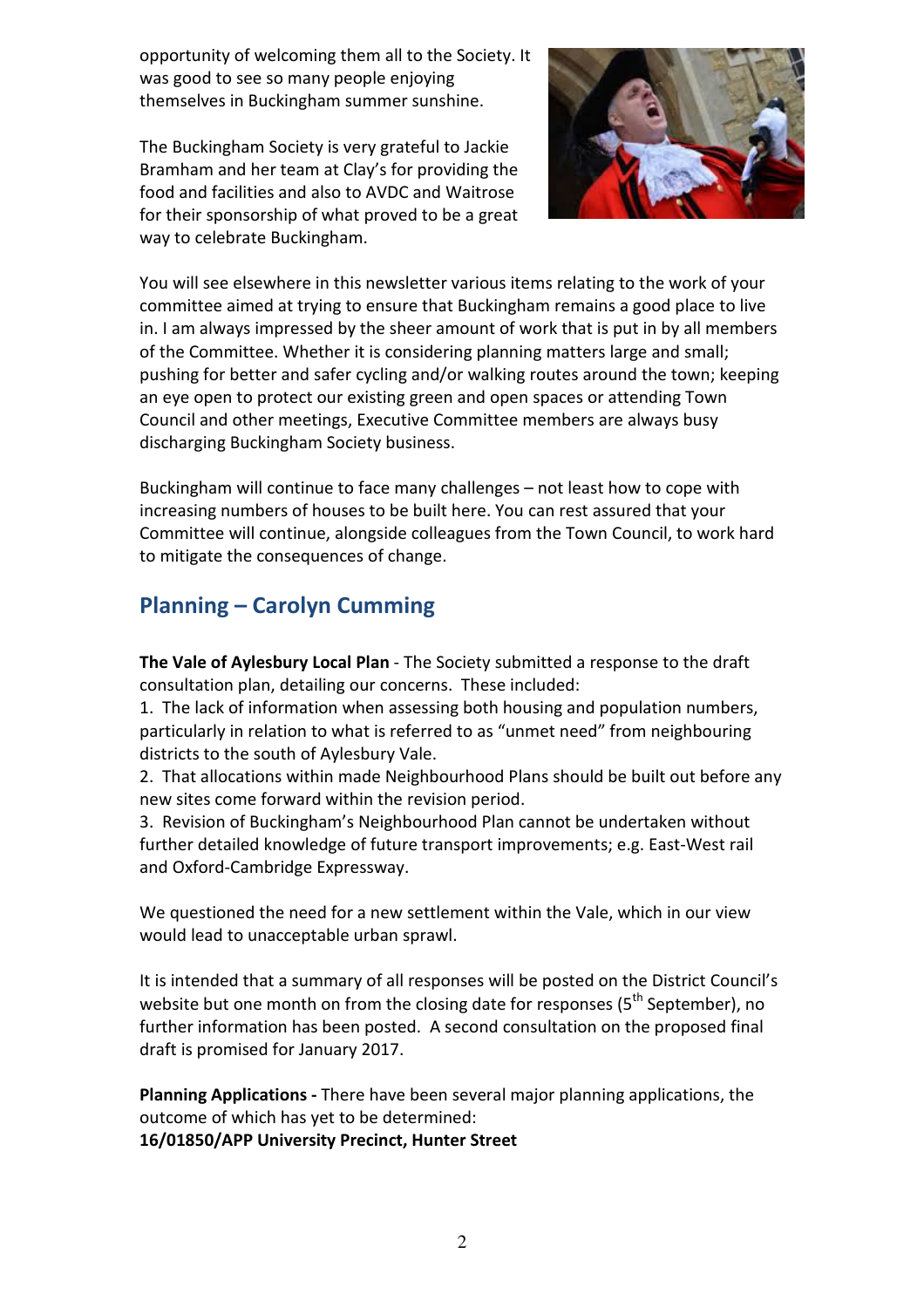opportunity of welcoming them all to the Society. It was good to see so many people enjoying themselves in Buckingham summer sunshine.

The Buckingham Society is very grateful to Jackie Bramham and her team at Clay's for providing the food and facilities and also to AVDC and Waitrose for their sponsorship of what proved to be a great way to celebrate Buckingham.



You will see elsewhere in this newsletter various items relating to the work of your committee aimed at trying to ensure that Buckingham remains a good place to live in. I am always impressed by the sheer amount of work that is put in by all members of the Committee. Whether it is considering planning matters large and small; pushing for better and safer cycling and/or walking routes around the town; keeping an eye open to protect our existing green and open spaces or attending Town Council and other meetings, Executive Committee members are always busy discharging Buckingham Society business.

Buckingham will continue to face many challenges – not least how to cope with increasing numbers of houses to be built here. You can rest assured that your Committee will continue, alongside colleagues from the Town Council, to work hard to mitigate the consequences of change.

# **Planning – Carolyn Cumming**

**The Vale of Aylesbury Local Plan** - The Society submitted a response to the draft consultation plan, detailing our concerns. These included:

1. The lack of information when assessing both housing and population numbers, particularly in relation to what is referred to as "unmet need" from neighbouring districts to the south of Aylesbury Vale.

2. That allocations within made Neighbourhood Plans should be built out before any new sites come forward within the revision period.

3. Revision of Buckingham's Neighbourhood Plan cannot be undertaken without further detailed knowledge of future transport improvements; e.g. East-West rail and Oxford-Cambridge Expressway.

We questioned the need for a new settlement within the Vale, which in our view would lead to unacceptable urban sprawl.

It is intended that a summary of all responses will be posted on the District Council's website but one month on from the closing date for responses (5<sup>th</sup> September), no further information has been posted. A second consultation on the proposed final draft is promised for January 2017.

**Planning Applications -** There have been several major planning applications, the outcome of which has yet to be determined:

**16/01850/APP University Precinct, Hunter Street**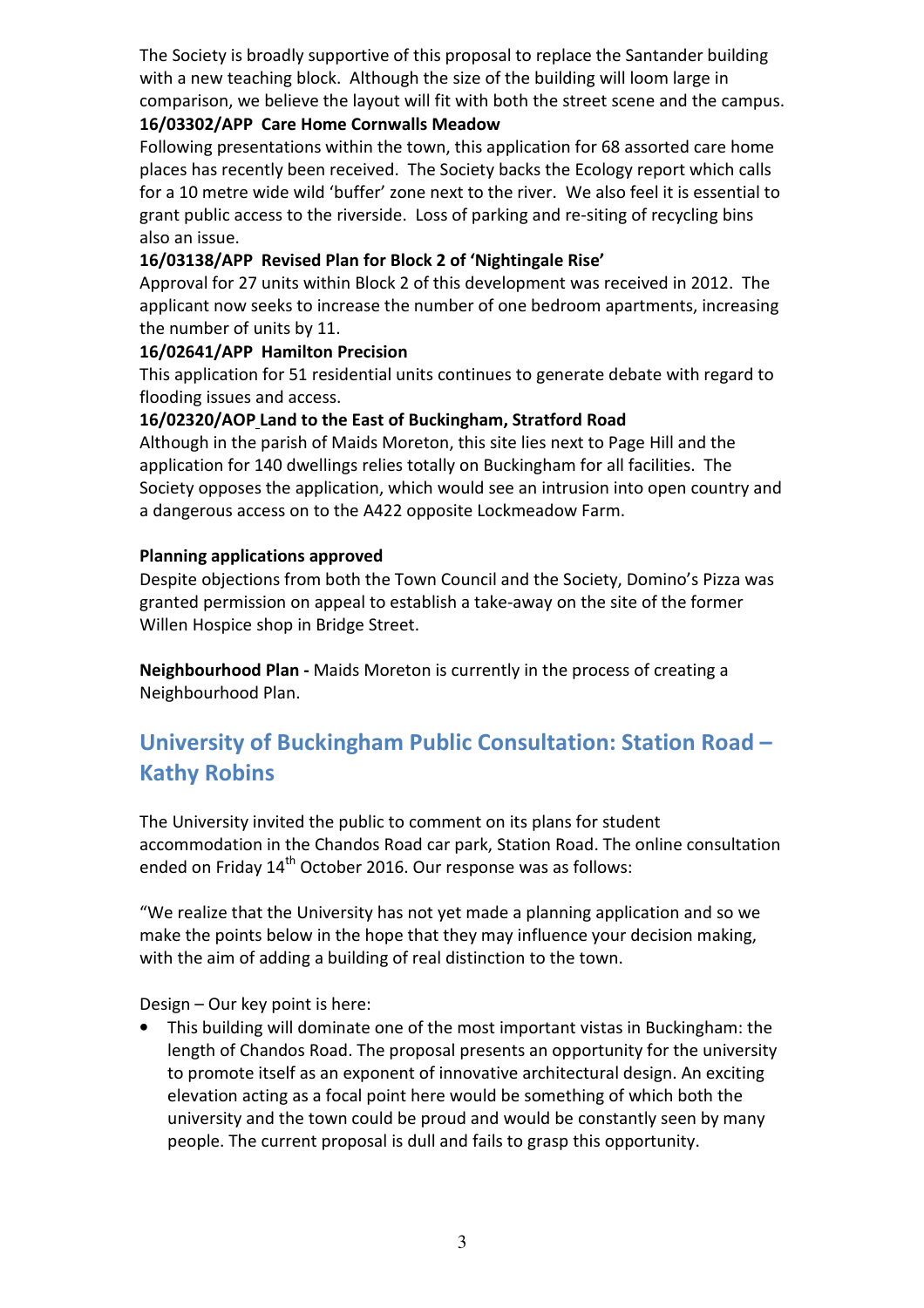The Society is broadly supportive of this proposal to replace the Santander building with a new teaching block. Although the size of the building will loom large in comparison, we believe the layout will fit with both the street scene and the campus.

### **16/03302/APP Care Home Cornwalls Meadow**

Following presentations within the town, this application for 68 assorted care home places has recently been received. The Society backs the Ecology report which calls for a 10 metre wide wild 'buffer' zone next to the river. We also feel it is essential to grant public access to the riverside. Loss of parking and re-siting of recycling bins also an issue.

### **16/03138/APP Revised Plan for Block 2 of 'Nightingale Rise'**

Approval for 27 units within Block 2 of this development was received in 2012. The applicant now seeks to increase the number of one bedroom apartments, increasing the number of units by 11.

#### **16/02641/APP Hamilton Precision**

This application for 51 residential units continues to generate debate with regard to flooding issues and access.

### **16/02320/AOP Land to the East of Buckingham, Stratford Road**

Although in the parish of Maids Moreton, this site lies next to Page Hill and the application for 140 dwellings relies totally on Buckingham for all facilities. The Society opposes the application, which would see an intrusion into open country and a dangerous access on to the A422 opposite Lockmeadow Farm.

### **Planning applications approved**

Despite objections from both the Town Council and the Society, Domino's Pizza was granted permission on appeal to establish a take-away on the site of the former Willen Hospice shop in Bridge Street.

**Neighbourhood Plan -** Maids Moreton is currently in the process of creating a Neighbourhood Plan.

# **University of Buckingham Public Consultation: Station Road – Kathy Robins**

The University invited the public to comment on its plans for student accommodation in the Chandos Road car park, Station Road. The online consultation ended on Friday 14<sup>th</sup> October 2016. Our response was as follows:

"We realize that the University has not yet made a planning application and so we make the points below in the hope that they may influence your decision making, with the aim of adding a building of real distinction to the town.

Design – Our key point is here:

• This building will dominate one of the most important vistas in Buckingham: the length of Chandos Road. The proposal presents an opportunity for the university to promote itself as an exponent of innovative architectural design. An exciting elevation acting as a focal point here would be something of which both the university and the town could be proud and would be constantly seen by many people. The current proposal is dull and fails to grasp this opportunity.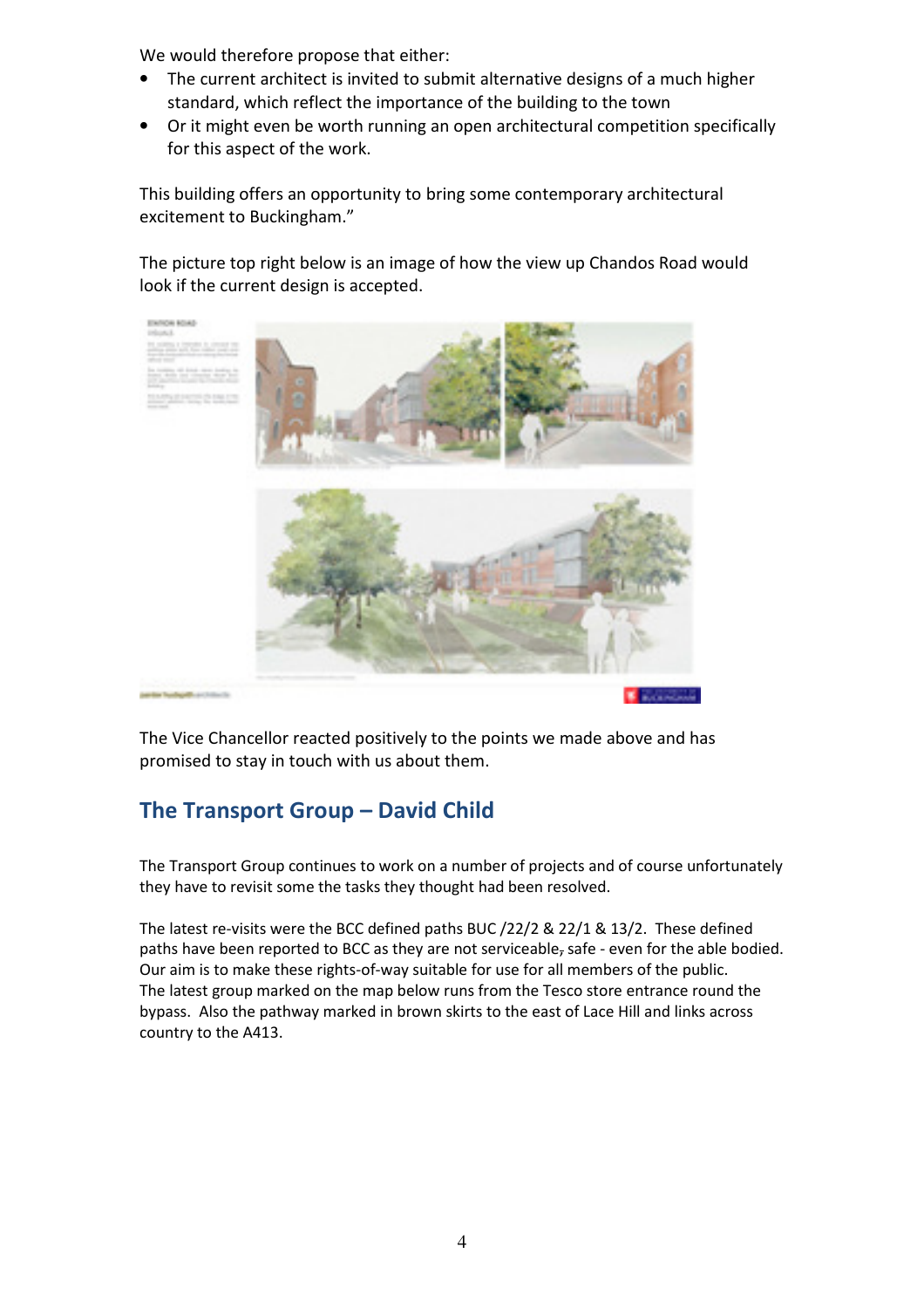We would therefore propose that either:

- The current architect is invited to submit alternative designs of a much higher standard, which reflect the importance of the building to the town
- Or it might even be worth running an open architectural competition specifically for this aspect of the work.

This building offers an opportunity to bring some contemporary architectural excitement to Buckingham."

The picture top right below is an image of how the view up Chandos Road would look if the current design is accepted.



The Vice Chancellor reacted positively to the points we made above and has promised to stay in touch with us about them.

# **The Transport Group – David Child**

The Transport Group continues to work on a number of projects and of course unfortunately they have to revisit some the tasks they thought had been resolved.

The latest re-visits were the BCC defined paths BUC /22/2 & 22/1 & 13/2. These defined paths have been reported to BCC as they are not serviceable, safe - even for the able bodied. Our aim is to make these rights-of-way suitable for use for all members of the public. The latest group marked on the map below runs from the Tesco store entrance round the bypass. Also the pathway marked in brown skirts to the east of Lace Hill and links across country to the A413.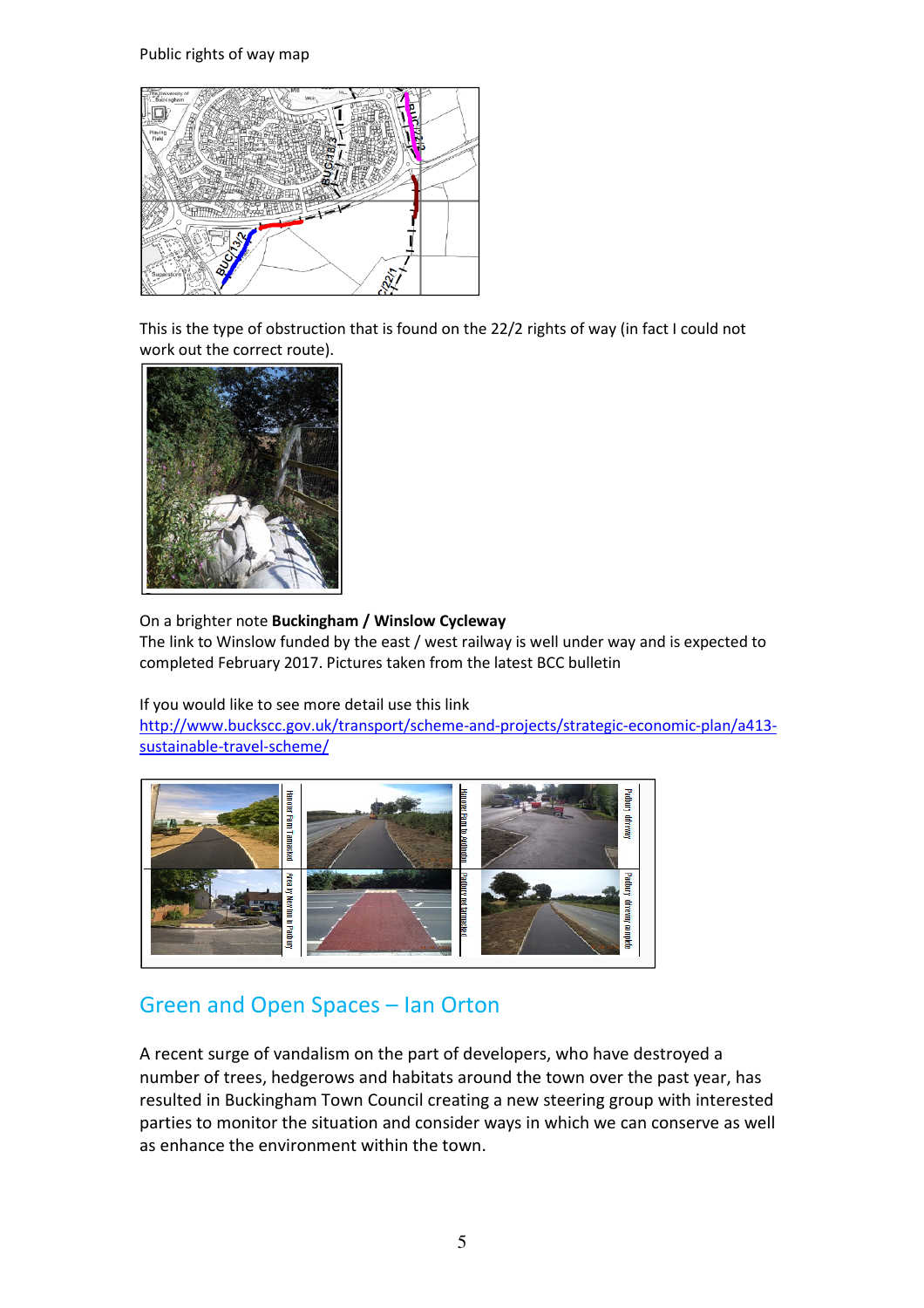Public rights of way map



This is the type of obstruction that is found on the 22/2 rights of way (in fact I could not work out the correct route).



#### On a brighter note **Buckingham / Winslow Cycleway**

The link to Winslow funded by the east / west railway is well under way and is expected to completed February 2017. Pictures taken from the latest BCC bulletin

If you would like to see more detail use this link

http://www.buckscc.gov.uk/transport/scheme-and-projects/strategic-economic-plan/a413 sustainable-travel-scheme/



# Green and Open Spaces – Ian Orton

A recent surge of vandalism on the part of developers, who have destroyed a number of trees, hedgerows and habitats around the town over the past year, has resulted in Buckingham Town Council creating a new steering group with interested parties to monitor the situation and consider ways in which we can conserve as well as enhance the environment within the town.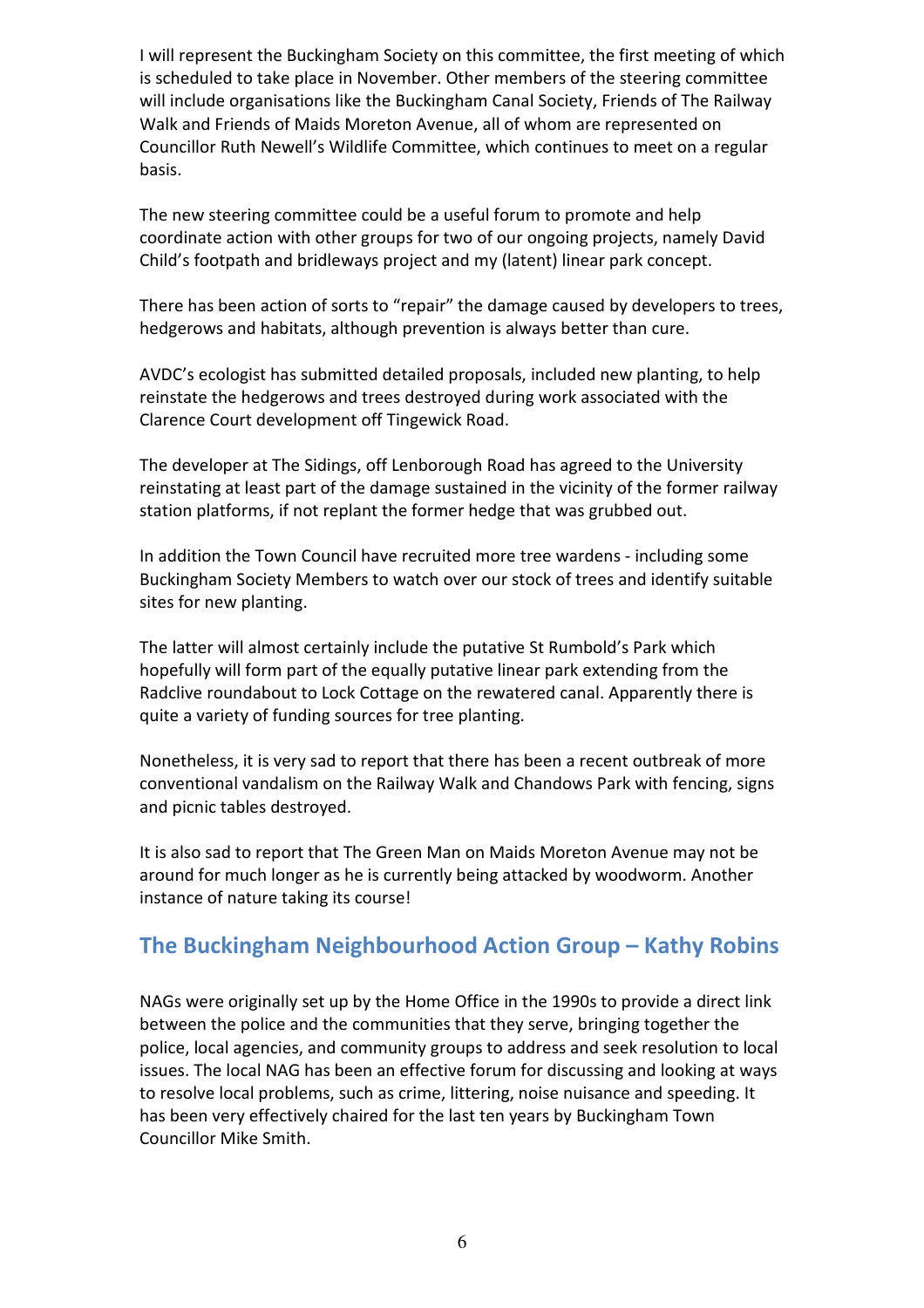I will represent the Buckingham Society on this committee, the first meeting of which is scheduled to take place in November. Other members of the steering committee will include organisations like the Buckingham Canal Society, Friends of The Railway Walk and Friends of Maids Moreton Avenue, all of whom are represented on Councillor Ruth Newell's Wildlife Committee, which continues to meet on a regular basis.

The new steering committee could be a useful forum to promote and help coordinate action with other groups for two of our ongoing projects, namely David Child's footpath and bridleways project and my (latent) linear park concept.

There has been action of sorts to "repair" the damage caused by developers to trees, hedgerows and habitats, although prevention is always better than cure.

AVDC's ecologist has submitted detailed proposals, included new planting, to help reinstate the hedgerows and trees destroyed during work associated with the Clarence Court development off Tingewick Road.

The developer at The Sidings, off Lenborough Road has agreed to the University reinstating at least part of the damage sustained in the vicinity of the former railway station platforms, if not replant the former hedge that was grubbed out.

In addition the Town Council have recruited more tree wardens - including some Buckingham Society Members to watch over our stock of trees and identify suitable sites for new planting.

The latter will almost certainly include the putative St Rumbold's Park which hopefully will form part of the equally putative linear park extending from the Radclive roundabout to Lock Cottage on the rewatered canal. Apparently there is quite a variety of funding sources for tree planting.

Nonetheless, it is very sad to report that there has been a recent outbreak of more conventional vandalism on the Railway Walk and Chandows Park with fencing, signs and picnic tables destroyed.

It is also sad to report that The Green Man on Maids Moreton Avenue may not be around for much longer as he is currently being attacked by woodworm. Another instance of nature taking its course!

## **The Buckingham Neighbourhood Action Group – Kathy Robins**

NAGs were originally set up by the Home Office in the 1990s to provide a direct link between the police and the communities that they serve, bringing together the police, local agencies, and community groups to address and seek resolution to local issues. The local NAG has been an effective forum for discussing and looking at ways to resolve local problems, such as crime, littering, noise nuisance and speeding. It has been very effectively chaired for the last ten years by Buckingham Town Councillor Mike Smith.